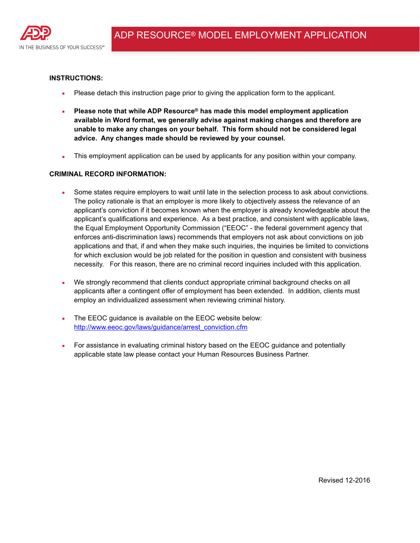

#### **INSTRUCTIONS:**

- Please detach this instruction page prior to giving the application form to the applicant.
- Please note that while ADP Resource<sup>®</sup> has made this model employment application **available in Word format, we generally advise against making changes and therefore are unable to make any changes on your behalf. This form should not be considered legal advice. Any changes made should be reviewed by your counsel.**
- **•** This employment application can be used by applicants for any position within your company.

### **CRIMINAL RECORD INFORMATION:**

- **•** Some states require employers to wait until late in the selection process to ask about convictions. The policy rationale is that an employer is more likely to objectively assess the relevance of an applicant's conviction if it becomes known when the employer is already knowledgeable about the applicant's qualifications and experience. As a best practice, and consistent with applicable laws, the Equal Employment Opportunity Commission ("EEOC" - the federal government agency that enforces anti-discrimination laws) recommends that employers not ask about convictions on job applications and that, if and when they make such inquiries, the inquiries be limited to convictions for which exclusion would be job related for the position in question and consistent with business necessity. For this reason, there are no criminal record inquiries included with this application.
- We strongly recommend that clients conduct appropriate criminal background checks on all applicants after a contingent offer of employment has been extended. In addition, clients must employ an individualized assessment when reviewing criminal history.
- The EEOC quidance is available on the EEOC website below: [http://www.eeoc.gov/laws/guidance/arrest\\_conviction.cfm](http://www.eeoc.gov/laws/guidance/arrest_conviction.cfm)
- For assistance in evaluating criminal history based on the EEOC guidance and potentially applicable state law please contact your Human Resources Business Partner.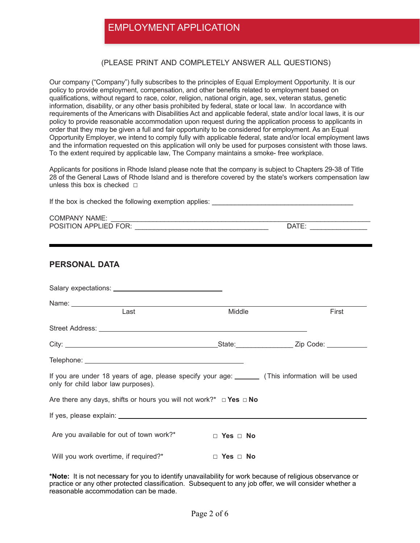## EMPLOYMENT APPLICATION

## (PLEASE PRINT AND COMPLETELY ANSWER ALL QUESTIONS)

Our company ("Company") fully subscribes to the principles of Equal Employment Opportunity. It is our policy to provide employment, compensation, and other benefits related to employment based on qualifications, without regard to race, color, religion, national origin, age, sex, veteran status, genetic information, disability, or any other basis prohibited by federal, state or local law. In accordance with requirements of the Americans with Disabilities Act and applicable federal, state and/or local laws, it is our policy to provide reasonable accommodation upon request during the application process to applicants in order that they may be given a full and fair opportunity to be considered for employment. As an Equal Opportunity Employer, we intend to comply fully with applicable federal, state and/or local employment laws and the information requested on this application will only be used for purposes consistent with those laws. To the extent required by applicable law, The Company maintains a smoke- free workplace.

Applicants for positions in Rhode Island please note that the company is subject to Chapters 29-38 of Title 28 of the General Laws of Rhode Island and is therefore covered by the state's workers compensation law unless this box is checked **□** 

| POSITION APPLIED FOR: VERTICAL CONTROL CONTROL CONTROL CONTROL CONTROL CONTROL CONTROL CONTROL CONTROL CONTROL CONTROL CONTROL CONTROL CONTROL CONTROL CONTROL CONTROL CONTROL CONTROL CONTROL CONTROL CONTROL CONTROL CONTROL |                      |       |  |
|--------------------------------------------------------------------------------------------------------------------------------------------------------------------------------------------------------------------------------|----------------------|-------|--|
| <b>PERSONAL DATA</b>                                                                                                                                                                                                           |                      |       |  |
|                                                                                                                                                                                                                                |                      |       |  |
| Name: <u>Name:</u> Name: 2008<br>Last                                                                                                                                                                                          | Middle               | First |  |
|                                                                                                                                                                                                                                |                      |       |  |
|                                                                                                                                                                                                                                |                      |       |  |
|                                                                                                                                                                                                                                |                      |       |  |
| If you are under 18 years of age, please specify your age: _______ (This information will be used<br>only for child labor law purposes).                                                                                       |                      |       |  |
| Are there any days, shifts or hours you will not work?* $\Box$ Yes $\Box$ No                                                                                                                                                   |                      |       |  |
|                                                                                                                                                                                                                                |                      |       |  |
| Are you available for out of town work?*                                                                                                                                                                                       | $\Box$ Yes $\Box$ No |       |  |
| Will you work overtime, if required?*                                                                                                                                                                                          | $\Box$ Yes $\Box$ No |       |  |

**\*Note:** It is not necessary for you to identify unavailability for work because of religious observance or practice or any other protected classification. Subsequent to any job offer, we will consider whether a reasonable accommodation can be made.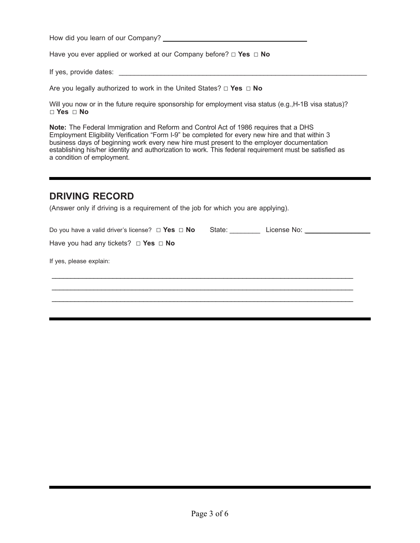How did you learn of our Company?

Have you ever applied or worked at our Company before? ☐ **Yes** ☐ **No** 

If yes, provide dates:  $\blacksquare$ 

Are you legally authorized to work in the United States? ☐ **Yes** ☐ **No** 

Will you now or in the future require sponsorship for employment visa status (e.g., H-1B visa status)? ☐ **Yes** ☐ **No**

**Note:** The Federal Immigration and Reform and Control Act of 1986 requires that a DHS Employment Eligibility Verification "Form I-9" be completed for every new hire and that within 3 business days of beginning work every new hire must present to the employer documentation establishing his/her identity and authorization to work. This federal requirement must be satisfied as a condition of employment.

## **DRIVING RECORD**

(Answer only if driving is a requirement of the job for which you are applying).

| Do you have a valid driver's license? $\Box$ Yes $\Box$ No | State: _________ | License No: <u>______________________</u> |  |
|------------------------------------------------------------|------------------|-------------------------------------------|--|
| Have you had any tickets? $\Box$ Yes $\Box$ No             |                  |                                           |  |
| If yes, please explain:                                    |                  |                                           |  |
|                                                            |                  |                                           |  |
|                                                            |                  |                                           |  |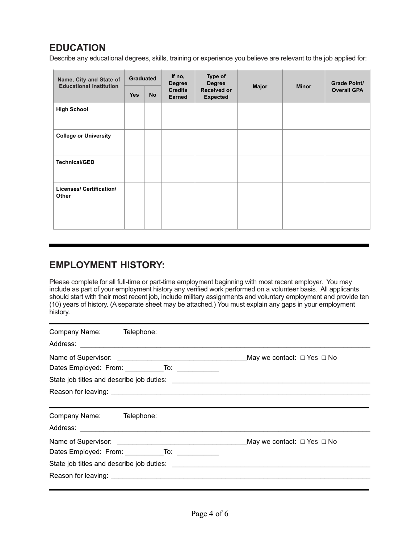# **EDUCATION**

Describe any educational degrees, skills, training or experience you believe are relevant to the job applied for:

| Name, City and State of<br><b>Educational Institution</b> | Graduated  |           | If no,<br><b>Degree</b>         | <b>Type of</b><br><b>Degree</b>       |              |              | <b>Grade Point/</b> |
|-----------------------------------------------------------|------------|-----------|---------------------------------|---------------------------------------|--------------|--------------|---------------------|
|                                                           | <b>Yes</b> | <b>No</b> | <b>Credits</b><br><b>Earned</b> | <b>Received or</b><br><b>Expected</b> | <b>Major</b> | <b>Minor</b> | <b>Overall GPA</b>  |
| <b>High School</b>                                        |            |           |                                 |                                       |              |              |                     |
| <b>College or University</b>                              |            |           |                                 |                                       |              |              |                     |
| <b>Technical/GED</b>                                      |            |           |                                 |                                       |              |              |                     |
| Licenses/ Certification/<br>Other                         |            |           |                                 |                                       |              |              |                     |

## **EMPLOYMENT HISTORY:**

Please complete for all full-time or part-time employment beginning with most recent employer. You may include as part of your employment history any verified work performed on a volunteer basis. All applicants should start with their most recent job, include military assignments and voluntary employment and provide ten (10) years of history. (A separate sheet may be attached.) You must explain any gaps in your employment history.

| Company Name: Telephone:                                                                                                   |  |
|----------------------------------------------------------------------------------------------------------------------------|--|
| Dates Employed: From: ______________To: ______________                                                                     |  |
|                                                                                                                            |  |
| Company Name: Telephone:                                                                                                   |  |
| Dates Employed: From: ______________To: _____________                                                                      |  |
| Reason for leaving: <u>the contract of the contract of the contract of the contract of the contract of the contract of</u> |  |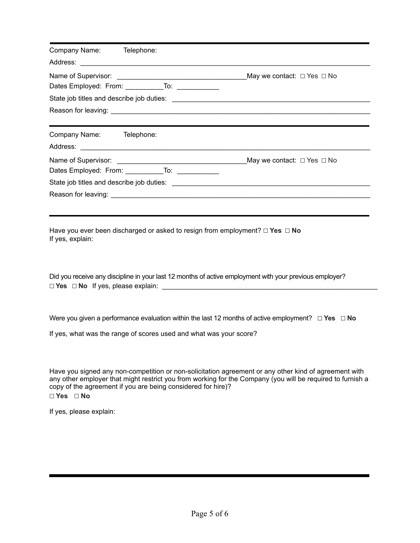| Company Name: Telephone:                                           |                                                                                                              |
|--------------------------------------------------------------------|--------------------------------------------------------------------------------------------------------------|
| Dates Employed: From: _____________To: ____________                |                                                                                                              |
|                                                                    |                                                                                                              |
|                                                                    |                                                                                                              |
| Company Name: Telephone:                                           |                                                                                                              |
| Dates Employed: From: _____________To: _____________               |                                                                                                              |
|                                                                    |                                                                                                              |
| If yes, explain:                                                   | Have you ever been discharged or asked to resign from employment? $\Box$ Yes $\Box$ No                       |
|                                                                    | Did you receive any discipline in your last 12 months of active employment with your previous employer?      |
| If yes, what was the range of scores used and what was your score? | Were you given a performance evaluation within the last 12 months of active employment? $\Box$ Yes $\Box$ No |

Have you signed any non-competition or non-solicitation agreement or any other kind of agreement with any other employer that might restrict you from working for the Company (you will be required to furnish a copy of the agreement if you are being considered for hire)? **☐ Yes ☐ No** 

If yes, please explain: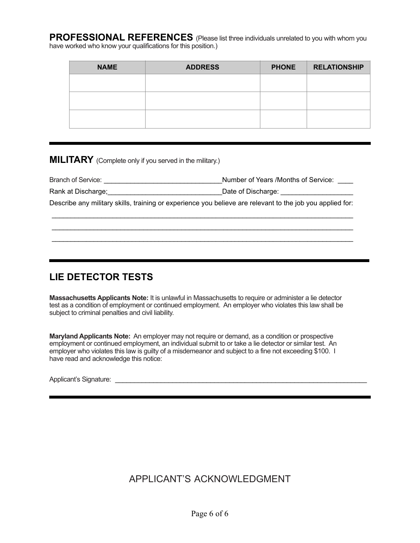**PROFESSIONAL REFERENCES** (Please list three individuals unrelated to you with whom you have worked who know your qualifications for this position.)

| <b>NAME</b> | <b>ADDRESS</b> | <b>PHONE</b> | <b>RELATIONSHIP</b> |
|-------------|----------------|--------------|---------------------|
|             |                |              |                     |
|             |                |              |                     |
|             |                |              |                     |
|             |                |              |                     |
|             |                |              |                     |

**MILITARY** (Complete only if you served in the military.)

| Branch of Service: | Number of Years /Months of Service: |
|--------------------|-------------------------------------|
|--------------------|-------------------------------------|

Rank at Discharge; et al. 2014 and Discharge: Date of Discharge: 2014 and Discharge: 2014 and Discharge: 2014

Describe any military skills, training or experience you believe are relevant to the job you applied for: \_\_\_\_\_\_\_\_\_\_\_\_\_\_\_\_\_\_\_\_\_\_\_\_\_\_\_\_\_\_\_\_\_\_\_\_\_\_\_\_\_\_\_\_\_\_\_\_\_\_\_\_\_\_\_\_\_\_\_\_\_\_\_\_\_\_\_\_\_\_\_\_\_\_\_\_\_\_\_

\_\_\_\_\_\_\_\_\_\_\_\_\_\_\_\_\_\_\_\_\_\_\_\_\_\_\_\_\_\_\_\_\_\_\_\_\_\_\_\_\_\_\_\_\_\_\_\_\_\_\_\_\_\_\_\_\_\_\_\_\_\_\_\_\_\_\_\_\_\_\_\_\_\_\_\_\_\_\_ \_\_\_\_\_\_\_\_\_\_\_\_\_\_\_\_\_\_\_\_\_\_\_\_\_\_\_\_\_\_\_\_\_\_\_\_\_\_\_\_\_\_\_\_\_\_\_\_\_\_\_\_\_\_\_\_\_\_\_\_\_\_\_\_\_\_\_\_\_\_\_\_\_\_\_\_\_\_\_

## **LIE DETECTOR TESTS**

**Massachusetts Applicants Note:** It is unlawful in Massachusetts to require or administer a lie detector test as a condition of employment or continued employment. An employer who violates this law shall be subject to criminal penalties and civil liability.

**Maryland Applicants Note:** An employer may not require or demand, as a condition or prospective employment or continued employment, an individual submit to or take a lie detector or similar test. An employer who violates this law is guilty of a misdemeanor and subject to a fine not exceeding \$100. I have read and acknowledge this notice:

Applicant's Signature:  $\blacksquare$ 

# APPLICANT'S ACKNOWLEDGMENT